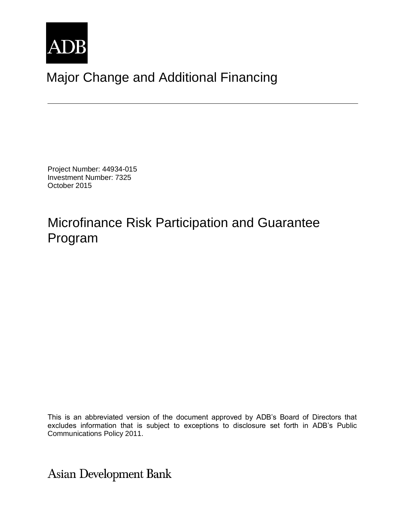

# Major Change and Additional Financing

Project Number: 44934-015 Investment Number: 7325 October 2015

## Microfinance Risk Participation and Guarantee Program

This is an abbreviated version of the document approved by ADB's Board of Directors that excludes information that is subject to exceptions to disclosure set forth in ADB's Public Communications Policy 2011.

**Asian Development Bank**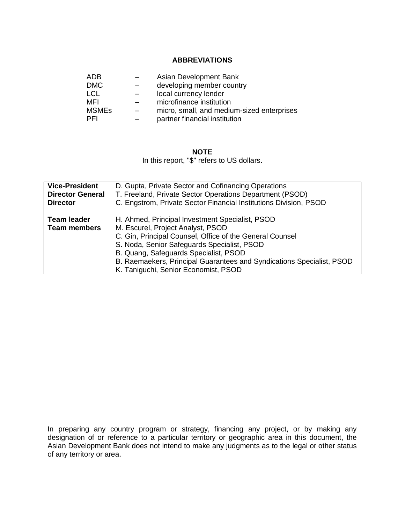#### **ABBREVIATIONS**

| ADB.         | Asian Development Bank                     |
|--------------|--------------------------------------------|
| <b>DMC</b>   | developing member country                  |
| <b>LCL</b>   | local currency lender                      |
| MFI          | microfinance institution                   |
| <b>MSMEs</b> | micro, small, and medium-sized enterprises |
| PFI          | partner financial institution              |

#### **NOTE**

In this report, "\$" refers to US dollars.

| <b>Vice-President</b>                     | D. Gupta, Private Sector and Cofinancing Operations                                                                                                                                                                                                                                                                                                       |
|-------------------------------------------|-----------------------------------------------------------------------------------------------------------------------------------------------------------------------------------------------------------------------------------------------------------------------------------------------------------------------------------------------------------|
| <b>Director General</b>                   | T. Freeland, Private Sector Operations Department (PSOD)                                                                                                                                                                                                                                                                                                  |
| <b>Director</b>                           | C. Engstrom, Private Sector Financial Institutions Division, PSOD                                                                                                                                                                                                                                                                                         |
| <b>Team leader</b><br><b>Team members</b> | H. Ahmed, Principal Investment Specialist, PSOD<br>M. Escurel, Project Analyst, PSOD<br>C. Gin, Principal Counsel, Office of the General Counsel<br>S. Noda, Senior Safeguards Specialist, PSOD<br>B. Quang, Safeguards Specialist, PSOD<br>B. Raemaekers, Principal Guarantees and Syndications Specialist, PSOD<br>K. Taniguchi, Senior Economist, PSOD |

In preparing any country program or strategy, financing any project, or by making any designation of or reference to a particular territory or geographic area in this document, the Asian Development Bank does not intend to make any judgments as to the legal or other status of any territory or area.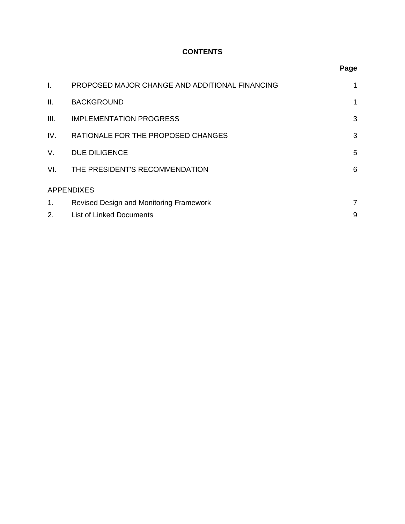## **CONTENTS**

| $\mathbf{I}$ .    | PROPOSED MAJOR CHANGE AND ADDITIONAL FINANCING | 1 |  |
|-------------------|------------------------------------------------|---|--|
| II.               | <b>BACKGROUND</b>                              | 1 |  |
| III.              | <b>IMPLEMENTATION PROGRESS</b>                 | 3 |  |
| IV.               | RATIONALE FOR THE PROPOSED CHANGES             | 3 |  |
| V.                | <b>DUE DILIGENCE</b>                           | 5 |  |
| VI.               | THE PRESIDENT'S RECOMMENDATION                 | 6 |  |
| <b>APPENDIXES</b> |                                                |   |  |
| 1.                | Revised Design and Monitoring Framework        | 7 |  |
| 2.                | <b>List of Linked Documents</b>                | 9 |  |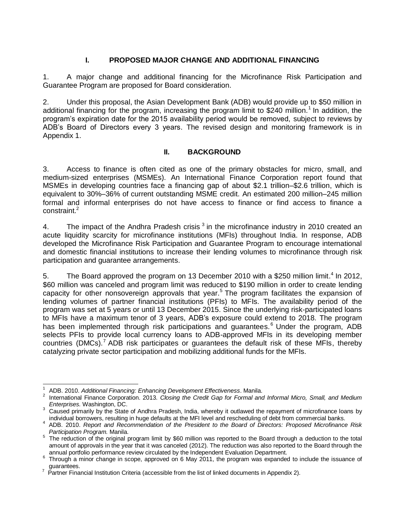#### **I. PROPOSED MAJOR CHANGE AND ADDITIONAL FINANCING**

<span id="page-3-0"></span>1. A major change and additional financing for the Microfinance Risk Participation and Guarantee Program are proposed for Board consideration.

2. Under this proposal, the Asian Development Bank (ADB) would provide up to \$50 million in additional financing for the program, increasing the program limit to \$240 million.<sup>1</sup> In addition, the program's expiration date for the 2015 availability period would be removed, subject to reviews by ADB's Board of Directors every 3 years. The revised design and monitoring framework is in Appendix 1.

#### **II. BACKGROUND**

<span id="page-3-1"></span>3. Access to finance is often cited as one of the primary obstacles for micro, small, and medium-sized enterprises (MSMEs). An International Finance Corporation report found that MSMEs in developing countries face a financing gap of about \$2.1 trillion–\$2.6 trillion, which is equivalent to 30%–36% of current outstanding MSME credit. An estimated 200 million–245 million formal and informal enterprises do not have access to finance or find access to finance a constraint.<sup>2</sup>

4. The impact of the Andhra Pradesh crisis  $3$  in the microfinance industry in 2010 created an acute liquidity scarcity for microfinance institutions (MFIs) throughout India. In response, ADB developed the Microfinance Risk Participation and Guarantee Program to encourage international and domestic financial institutions to increase their lending volumes to microfinance through risk participation and guarantee arrangements.

5. The Board approved the program on 13 December 2010 with a \$250 million limit.<sup>4</sup> In 2012, \$60 million was canceled and program limit was reduced to \$190 million in order to create lending capacity for other nonsovereign approvals that year. <sup>5</sup> The program facilitates the expansion of lending volumes of partner financial institutions (PFIs) to MFIs. The availability period of the program was set at 5 years or until 13 December 2015. Since the underlying risk-participated loans to MFIs have a maximum tenor of 3 years, ADB's exposure could extend to 2018. The program has been implemented through risk participations and guarantees.<sup>6</sup> Under the program, ADB selects PFIs to provide local currency loans to ADB-approved MFIs in its developing member countries (DMCs).<sup>7</sup> ADB risk participates or guarantees the default risk of these MFIs, thereby catalyzing private sector participation and mobilizing additional funds for the MFIs.

 $\overline{\phantom{a}}$ <sup>1</sup> ADB. 2010. *Additional Financing: Enhancing Development Effectiveness*. Manila.

<sup>2</sup> International Finance Corporation. 2013. *Closing the Credit Gap for Formal and Informal Micro, Small, and Medium Enterprises.* Washington, DC.

<sup>&</sup>lt;sup>3</sup> Caused primarily by the State of Andhra Pradesh, India, whereby it outlawed the repayment of microfinance loans by individual borrowers, resulting in huge defaults at the MFI level and rescheduling of debt from commercial banks.

<sup>4</sup> ADB. 2010. *Report and Recommendation of the President to the Board of Directors: Proposed Microfinance Risk Participation Program.* Manila.

<sup>&</sup>lt;sup>5</sup> The reduction of the original program limit by \$60 million was reported to the Board through a deduction to the total amount of approvals in the year that it was canceled (2012). The reduction was also reported to the Board through the annual portfolio performance review circulated by the Independent Evaluation Department.

 $6$  Through a minor change in scope, approved on 6 May 2011, the program was expanded to include the issuance of

guarantees. 7 Partner Financial Institution Criteria (accessible from the list of linked documents in Appendix 2).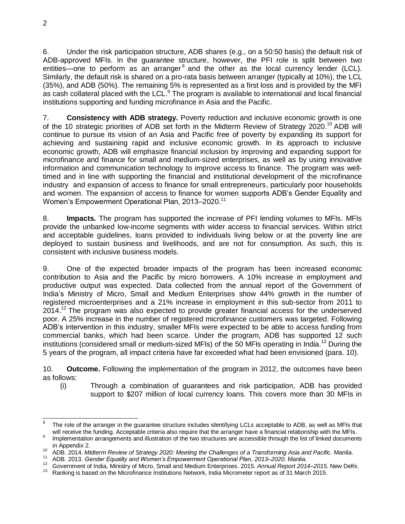6. Under the risk participation structure, ADB shares (e.g., on a 50:50 basis) the default risk of ADB-approved MFIs. In the guarantee structure, however, the PFI role is split between two entities—one to perform as an arranger $<sup>8</sup>$  and the other as the local currency lender (LCL).</sup> Similarly, the default risk is shared on a pro-rata basis between arranger (typically at 10%), the LCL (35%), and ADB (50%). The remaining 5% is represented as a first loss and is provided by the MFI as cash collateral placed with the LCL.<sup>9</sup> The program is available to international and local financial institutions supporting and funding microfinance in Asia and the Pacific.

7. **Consistency with ADB strategy.** Poverty reduction and inclusive economic growth is one of the 10 strategic priorities of ADB set forth in the Midterm Review of Strategy 2020.<sup>10</sup> ADB will continue to pursue its vision of an Asia and Pacific free of poverty by expanding its support for achieving and sustaining rapid and inclusive economic growth. In its approach to inclusive economic growth, ADB will emphasize financial inclusion by improving and expanding support for microfinance and finance for small and medium-sized enterprises, as well as by using innovative information and communication technology to improve access to finance. The program was welltimed and in line with supporting the financial and institutional development of the microfinance industry and expansion of access to finance for small entrepreneurs, particularly poor households and women. The expansion of access to finance for women supports ADB's Gender Equality and Women's Empowerment Operational Plan, 2013-2020.<sup>11</sup>

8. **Impacts.** The program has supported the increase of PFI lending volumes to MFIs. MFIs provide the unbanked low-income segments with wider access to financial services. Within strict and acceptable guidelines, loans provided to individuals living below or at the poverty line are deployed to sustain business and livelihoods, and are not for consumption. As such, this is consistent with inclusive business models.

9. One of the expected broader impacts of the program has been increased economic contribution to Asia and the Pacific by micro borrowers. A 10% increase in employment and productive output was expected. Data collected from the annual report of the Government of India's Ministry of Micro, Small and Medium Enterprises show 44% growth in the number of registered microenterprises and a 21% increase in employment in this sub-sector from 2011 to 2014.<sup>12</sup> The program was also expected to provide greater financial access for the underserved poor. A 25% increase in the number of registered microfinance customers was targeted. Following ADB's intervention in this industry, smaller MFIs were expected to be able to access funding from commercial banks, which had been scarce. Under the program, ADB has supported 12 such institutions (considered small or medium-sized MFIs) of the 50 MFIs operating in India.<sup>13</sup> During the 5 years of the program, all impact criteria have far exceeded what had been envisioned (para. 10).

10. **Outcome.** Following the implementation of the program in 2012, the outcomes have been as follows:

(i) Through a combination of guarantees and risk participation, ADB has provided support to \$207 million of local currency loans. This covers more than 30 MFIs in

j 8 The role of the arranger in the guarantee structure includes identifying LCLs acceptable to ADB, as well as MFIs that will receive the funding. Acceptable criteria also require that the arranger have a financial relationship with the MFIs.

<sup>9</sup> Implementation arrangements and illustration of the two structures are accessible through the list of linked documents in Appendix 2.

<sup>10</sup> ADB. 2014. *Midterm Review of Strategy 2020: Meeting the Challenges of a Transforming Asia and Pacific.* Manila.

<sup>11</sup> ADB. 2013. *Gender Equality and Women's Empowerment Operational Plan, 2013–2020*. Manila.

<sup>&</sup>lt;sup>12</sup> Government of India, Ministry of Micro, Small and Medium Enterprises. 2015. *Annual Report 2014–2015*. New Delhi.<br><sup>13</sup> Bonking is besed on the Microfinance Institutions Natural India Micrometer report as of 21 March 2

Ranking is based on the Microfinance Institutions Network, India Micrometer report as of 31 March 2015.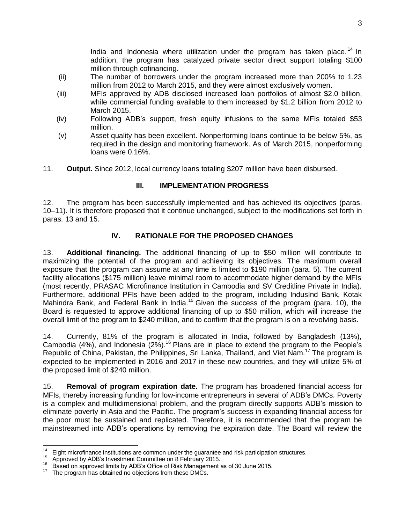India and Indonesia where utilization under the program has taken place.<sup>14</sup> In addition, the program has catalyzed private sector direct support totaling \$100 million through cofinancing.

- (ii) The number of borrowers under the program increased more than 200% to 1.23 million from 2012 to March 2015, and they were almost exclusively women.
- (iii) MFIs approved by ADB disclosed increased loan portfolios of almost \$2.0 billion, while commercial funding available to them increased by \$1.2 billion from 2012 to March 2015.
- (iv) Following ADB's support, fresh equity infusions to the same MFIs totaled \$53 million.
- (v) Asset quality has been excellent. Nonperforming loans continue to be below 5%, as required in the design and monitoring framework. As of March 2015, nonperforming loans were 0.16%.
- 11. **Output.** Since 2012, local currency loans totaling \$207 million have been disbursed.

#### **III. IMPLEMENTATION PROGRESS**

<span id="page-5-0"></span>12. The program has been successfully implemented and has achieved its objectives (paras. 10–11). It is therefore proposed that it continue unchanged, subject to the modifications set forth in paras. 13 and 15.

#### **IV. RATIONALE FOR THE PROPOSED CHANGES**

<span id="page-5-1"></span>13. **Additional financing.** The additional financing of up to \$50 million will contribute to maximizing the potential of the program and achieving its objectives. The maximum overall exposure that the program can assume at any time is limited to \$190 million (para. 5). The current facility allocations (\$175 million) leave minimal room to accommodate higher demand by the MFIs (most recently, PRASAC Microfinance Institution in Cambodia and SV Creditline Private in India). Furthermore, additional PFIs have been added to the program, including IndusInd Bank, Kotak Mahindra Bank, and Federal Bank in India.<sup>15</sup> Given the success of the program (para. 10), the Board is requested to approve additional financing of up to \$50 million, which will increase the overall limit of the program to \$240 million, and to confirm that the program is on a revolving basis.

14. Currently, 81% of the program is allocated in India, followed by Bangladesh (13%), Cambodia (4%), and Indonesia (2%).<sup>16</sup> Plans are in place to extend the program to the People's Republic of China, Pakistan, the Philippines, Sri Lanka, Thailand, and Viet Nam.<sup>17</sup> The program is expected to be implemented in 2016 and 2017 in these new countries, and they will utilize 5% of the proposed limit of \$240 million.

15. **Removal of program expiration date.** The program has broadened financial access for MFIs, thereby increasing funding for low-income entrepreneurs in several of ADB's DMCs. Poverty is a complex and multidimensional problem, and the program directly supports ADB's mission to eliminate poverty in Asia and the Pacific. The program's success in expanding financial access for the poor must be sustained and replicated. Therefore, it is recommended that the program be mainstreamed into ADB's operations by removing the expiration date. The Board will review the

 $14$ <sup>14</sup> Eight microfinance institutions are common under the guarantee and risk participation structures.<br><sup>15</sup> Approved by ADB's Investment Committee on 8 February 2015

<sup>15</sup> Approved by ADB's Investment Committee on 8 February 2015.

<sup>&</sup>lt;sup>16</sup> Based on approved limits by ADB's Office of Risk Management as of 30 June 2015.<br><sup>17</sup> The pregram has obtained no objections from these DMCs.

The program has obtained no objections from these DMCs.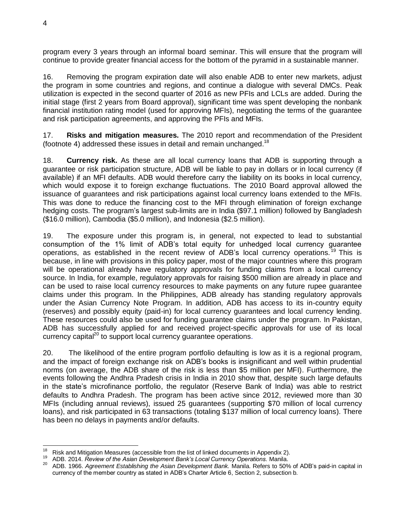program every 3 years through an informal board seminar. This will ensure that the program will continue to provide greater financial access for the bottom of the pyramid in a sustainable manner.

16. Removing the program expiration date will also enable ADB to enter new markets, adjust the program in some countries and regions, and continue a dialogue with several DMCs. Peak utilization is expected in the second quarter of 2016 as new PFIs and LCLs are added. During the initial stage (first 2 years from Board approval), significant time was spent developing the nonbank financial institution rating model (used for approving MFIs), negotiating the terms of the guarantee and risk participation agreements, and approving the PFIs and MFIs.

17. **Risks and mitigation measures.** The 2010 report and recommendation of the President (footnote 4) addressed these issues in detail and remain unchanged.<sup>18</sup>

18. **Currency risk.** As these are all local currency loans that ADB is supporting through a guarantee or risk participation structure, ADB will be liable to pay in dollars or in local currency (if available) if an MFI defaults. ADB would therefore carry the liability on its books in local currency, which would expose it to foreign exchange fluctuations. The 2010 Board approval allowed the issuance of guarantees and risk participations against local currency loans extended to the MFIs. This was done to reduce the financing cost to the MFI through elimination of foreign exchange hedging costs. The program's largest sub-limits are in India (\$97.1 million) followed by Bangladesh (\$16.0 million), Cambodia (\$5.0 million), and Indonesia (\$2.5 million).

19. The exposure under this program is, in general, not expected to lead to substantial consumption of the 1% limit of ADB's total equity for unhedged local currency guarantee operations, as established in the recent review of ADB's local currency operations.<sup>19</sup> This is because, in line with provisions in this policy paper, most of the major countries where this program will be operational already have regulatory approvals for funding claims from a local currency source. In India, for example, regulatory approvals for raising \$500 million are already in place and can be used to raise local currency resources to make payments on any future rupee guarantee claims under this program. In the Philippines, ADB already has standing regulatory approvals under the Asian Currency Note Program. In addition, ADB has access to its in-country equity (reserves) and possibly equity (paid-in) for local currency guarantees and local currency lending. These resources could also be used for funding guarantee claims under the program. In Pakistan, ADB has successfully applied for and received project-specific approvals for use of its local currency capital $^{20}$  to support local currency guarantee operations.

20. The likelihood of the entire program portfolio defaulting is low as it is a regional program, and the impact of foreign exchange risk on ADB's books is insignificant and well within prudential norms (on average, the ADB share of the risk is less than \$5 million per MFI). Furthermore, the events following the Andhra Pradesh crisis in India in 2010 show that, despite such large defaults in the state's microfinance portfolio, the regulator (Reserve Bank of India) was able to restrict defaults to Andhra Pradesh. The program has been active since 2012, reviewed more than 30 MFIs (including annual reviews), issued 25 guarantees (supporting \$70 million of local currency loans), and risk participated in 63 transactions (totaling \$137 million of local currency loans). There has been no delays in payments and/or defaults.

 <sup>18</sup> Risk and Mitigation Measures (accessible from the list of linked documents in Appendix 2).<br><sup>19</sup> ADB 2014, *Beview of the Asian Development Bank's Local Currency Operations*, Manila

<sup>19</sup> ADB. 2014. *Review of the Asian Development Bank's Local Currency Operations.* Manila.

<sup>20</sup> ADB. 1966. *Agreement Establishing the Asian Development Bank.* Manila. Refers to 50% of ADB's paid-in capital in currency of the member country as stated in ADB's Charter Article 6, Section 2, subsection b.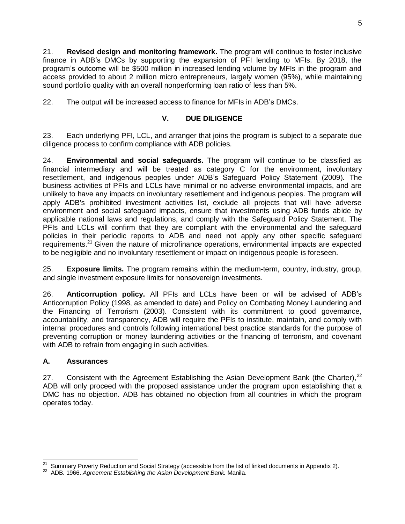21. **Revised design and monitoring framework.** The program will continue to foster inclusive finance in ADB's DMCs by supporting the expansion of PFI lending to MFIs. By 2018, the program's outcome will be \$500 million in increased lending volume by MFIs in the program and access provided to about 2 million micro entrepreneurs, largely women (95%), while maintaining sound portfolio quality with an overall nonperforming loan ratio of less than 5%.

22. The output will be increased access to finance for MFIs in ADB's DMCs.

## **V. DUE DILIGENCE**

<span id="page-7-0"></span>23. Each underlying PFI, LCL, and arranger that joins the program is subject to a separate due diligence process to confirm compliance with ADB policies.

24. **Environmental and social safeguards.** The program will continue to be classified as financial intermediary and will be treated as category C for the environment, involuntary resettlement, and indigenous peoples under ADB's Safeguard Policy Statement (2009). The business activities of PFIs and LCLs have minimal or no adverse environmental impacts, and are unlikely to have any impacts on involuntary resettlement and indigenous peoples. The program will apply ADB's prohibited investment activities list, exclude all projects that will have adverse environment and social safeguard impacts, ensure that investments using ADB funds abide by applicable national laws and regulations, and comply with the Safeguard Policy Statement. The PFIs and LCLs will confirm that they are compliant with the environmental and the safeguard policies in their periodic reports to ADB and need not apply any other specific safeguard requirements.<sup>21</sup> Given the nature of microfinance operations, environmental impacts are expected to be negligible and no involuntary resettlement or impact on indigenous people is foreseen.

25. **Exposure limits.** The program remains within the medium-term, country, industry, group, and single investment exposure limits for nonsovereign investments.

26. **Anticorruption policy.** All PFIs and LCLs have been or will be advised of ADB's Anticorruption Policy (1998, as amended to date) and Policy on Combating Money Laundering and the Financing of Terrorism (2003). Consistent with its commitment to good governance, accountability, and transparency, ADB will require the PFIs to institute, maintain, and comply with internal procedures and controls following international best practice standards for the purpose of preventing corruption or money laundering activities or the financing of terrorism, and covenant with ADB to refrain from engaging in such activities.

## **A. Assurances**

27. Consistent with the Agreement Establishing the Asian Development Bank (the Charter),  $2^2$ ADB will only proceed with the proposed assistance under the program upon establishing that a DMC has no objection. ADB has obtained no objection from all countries in which the program operates today.

Summary Poverty Reduction and Social Strategy (accessible from the list of linked documents in Appendix 2).

<sup>22</sup> ADB. 1966. *Agreement Establishing the Asian Development Bank.* Manila.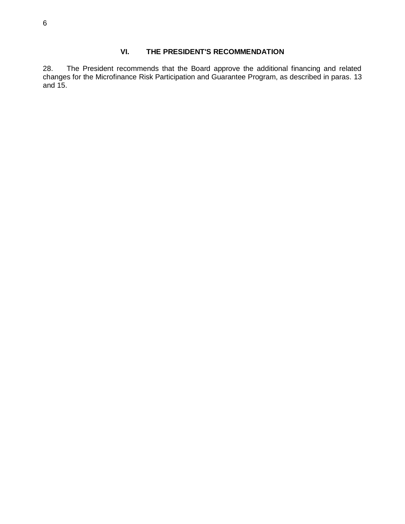## <span id="page-8-0"></span>**VI. THE PRESIDENT'S RECOMMENDATION**

28. The President recommends that the Board approve the additional financing and related changes for the Microfinance Risk Participation and Guarantee Program, as described in paras. 13 and 15.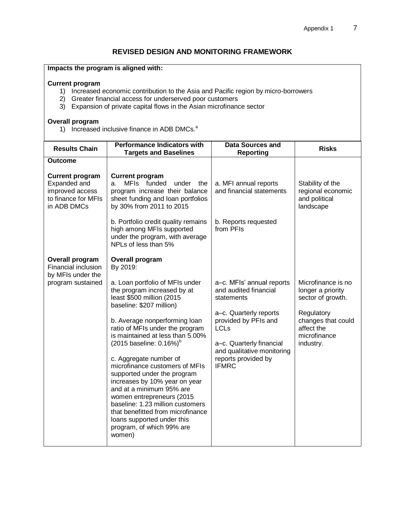#### <span id="page-9-0"></span>**Impacts the program is aligned with:**

#### **Current program**

- 1) Increased economic contribution to the Asia and Pacific region by micro-borrowers
- 2) Greater financial access for underserved poor customers
- 3) Expansion of private capital flows in the Asian microfinance sector

#### **Overall program**

1) Increased inclusive finance in ADB DMCs.<sup>a</sup>

| <b>Results Chain</b>                                                                            | <b>Performance Indicators with</b><br><b>Targets and Baselines</b>                                                                                                                                                                                                                                                                                                      | <b>Data Sources and</b><br><b>Reporting</b>                                                                                       | <b>Risks</b>                                                        |
|-------------------------------------------------------------------------------------------------|-------------------------------------------------------------------------------------------------------------------------------------------------------------------------------------------------------------------------------------------------------------------------------------------------------------------------------------------------------------------------|-----------------------------------------------------------------------------------------------------------------------------------|---------------------------------------------------------------------|
| <b>Outcome</b>                                                                                  |                                                                                                                                                                                                                                                                                                                                                                         |                                                                                                                                   |                                                                     |
| <b>Current program</b><br>Expanded and<br>improved access<br>to finance for MFIs<br>in ADB DMCs | <b>Current program</b><br>MFIs funded<br>under<br>the<br>a.<br>program increase their balance<br>sheet funding and loan portfolios<br>by 30% from 2011 to 2015                                                                                                                                                                                                          | a. MFI annual reports<br>and financial statements                                                                                 | Stability of the<br>regional economic<br>and political<br>landscape |
|                                                                                                 | b. Portfolio credit quality remains<br>high among MFIs supported<br>under the program, with average<br>NPLs of less than 5%                                                                                                                                                                                                                                             | b. Reports requested<br>from PFIs                                                                                                 |                                                                     |
| Overall program<br>Financial inclusion<br>by MFIs under the                                     | Overall program<br>By 2019:                                                                                                                                                                                                                                                                                                                                             |                                                                                                                                   |                                                                     |
| program sustained                                                                               | a. Loan portfolio of MFIs under<br>the program increased by at<br>least \$500 million (2015<br>baseline: \$207 million)<br>b. Average nonperforming loan<br>ratio of MFIs under the program<br>is maintained at less than 5,00%                                                                                                                                         | a-c. MFIs' annual reports<br>and audited financial<br>statements<br>a-c. Quarterly reports<br>provided by PFIs and<br><b>LCLs</b> | Microfinance is no<br>longer a priority<br>sector of growth.        |
|                                                                                                 |                                                                                                                                                                                                                                                                                                                                                                         |                                                                                                                                   | Regulatory<br>changes that could<br>affect the<br>microfinance      |
|                                                                                                 | $(2015 \text{ baseline: } 0.16\%)^6$<br>c. Aggregate number of<br>microfinance customers of MFIs<br>supported under the program<br>increases by 10% year on year<br>and at a minimum 95% are<br>women entrepreneurs (2015<br>baseline: 1.23 million customers<br>that benefitted from microfinance<br>loans supported under this<br>program, of which 99% are<br>women) | a-c. Quarterly financial<br>and qualitative monitoring<br>reports provided by<br><b>IFMRC</b>                                     | industry.                                                           |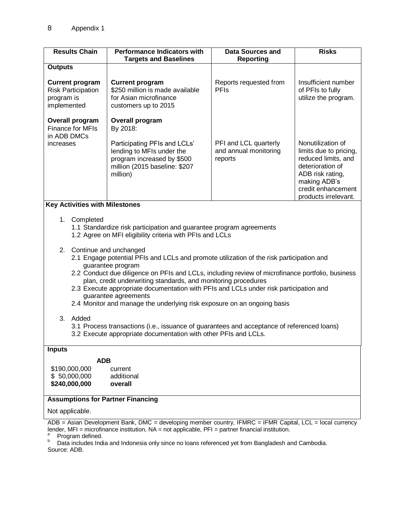| <b>Results Chain</b>                                                                                                                                                         | <b>Performance Indicators with</b><br><b>Targets and Baselines</b>                                                                                      | <b>Data Sources and</b><br><b>Reporting</b>               | <b>Risks</b>                                                                                                                                                             |  |  |
|------------------------------------------------------------------------------------------------------------------------------------------------------------------------------|---------------------------------------------------------------------------------------------------------------------------------------------------------|-----------------------------------------------------------|--------------------------------------------------------------------------------------------------------------------------------------------------------------------------|--|--|
| <b>Outputs</b>                                                                                                                                                               |                                                                                                                                                         |                                                           |                                                                                                                                                                          |  |  |
| <b>Current program</b><br><b>Risk Participation</b><br>program is<br>implemented                                                                                             | <b>Current program</b><br>\$250 million is made available<br>for Asian microfinance<br>customers up to 2015                                             | Reports requested from<br><b>PFIs</b>                     | Insufficient number<br>of PFIs to fully<br>utilize the program.                                                                                                          |  |  |
| <b>Overall program</b><br><b>Finance for MFIs</b><br>in ADB DMCs                                                                                                             | <b>Overall program</b><br>By 2018:                                                                                                                      |                                                           |                                                                                                                                                                          |  |  |
| increases                                                                                                                                                                    | Participating PFIs and LCLs'<br>lending to MFIs under the<br>program increased by \$500<br>million (2015 baseline: \$207<br>million)                    | PFI and LCL quarterly<br>and annual monitoring<br>reports | Nonutilization of<br>limits due to pricing,<br>reduced limits, and<br>deterioration of<br>ADB risk rating,<br>making ADB's<br>credit enhancement<br>products irrelevant. |  |  |
| <b>Key Activities with Milestones</b>                                                                                                                                        |                                                                                                                                                         |                                                           |                                                                                                                                                                          |  |  |
| 1. Completed<br>1.1 Standardize risk participation and guarantee program agreements<br>1.2 Agree on MFI eligibility criteria with PFIs and LCLs<br>2. Continue and unchanged |                                                                                                                                                         |                                                           |                                                                                                                                                                          |  |  |
|                                                                                                                                                                              | 2.1 Engage potential PFIs and LCLs and promote utilization of the risk participation and<br>guarantee program                                           |                                                           |                                                                                                                                                                          |  |  |
|                                                                                                                                                                              | 2.2 Conduct due diligence on PFIs and LCLs, including review of microfinance portfolio, business                                                        |                                                           |                                                                                                                                                                          |  |  |
|                                                                                                                                                                              | plan, credit underwriting standards, and monitoring procedures<br>2.3 Execute appropriate documentation with PFIs and LCLs under risk participation and |                                                           |                                                                                                                                                                          |  |  |
|                                                                                                                                                                              | guarantee agreements<br>2.4 Monitor and manage the underlying risk exposure on an ongoing basis                                                         |                                                           |                                                                                                                                                                          |  |  |
|                                                                                                                                                                              |                                                                                                                                                         |                                                           |                                                                                                                                                                          |  |  |
| 3. Added<br>3.1 Process transactions (i.e., issuance of guarantees and acceptance of referenced loans)<br>3.2 Execute appropriate documentation with other PFIs and LCLs.    |                                                                                                                                                         |                                                           |                                                                                                                                                                          |  |  |
| <b>Inputs</b>                                                                                                                                                                |                                                                                                                                                         |                                                           |                                                                                                                                                                          |  |  |
| <b>ADB</b><br>\$190,000,000<br>current                                                                                                                                       |                                                                                                                                                         |                                                           |                                                                                                                                                                          |  |  |
| \$50,000,000<br>additional<br>\$240,000,000<br>overall                                                                                                                       |                                                                                                                                                         |                                                           |                                                                                                                                                                          |  |  |
| <b>Assumptions for Partner Financing</b>                                                                                                                                     |                                                                                                                                                         |                                                           |                                                                                                                                                                          |  |  |
| Not applicable.                                                                                                                                                              |                                                                                                                                                         |                                                           |                                                                                                                                                                          |  |  |
| ADB = Asian Development Bank, DMC = developing member country, IFMRC = IFMR Capital, LCL = local currency                                                                    |                                                                                                                                                         |                                                           |                                                                                                                                                                          |  |  |

lender, MFI = microfinance institution, NA = not applicable, PFI = partner financial institution.

 $P$  Program defined.

**b** Data includes India and Indonesia only since no loans referenced yet from Bangladesh and Cambodia. Source: ADB.